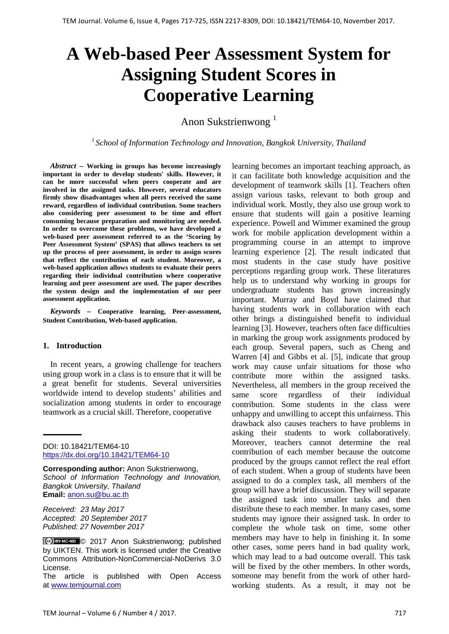# **A Web-based Peer Assessment System for Assigning Student Scores in Cooperative Learning**

Anon Sukstrienwong<sup>1</sup>

*1 School of Information Technology and Innovation, Bangkok University, Thailand*

*Abstract –* **Working in groups has become increasingly important in order to develop students' skills. However, it can be more successful when peers cooperate and are involved in the assigned tasks. However, several educators firmly show disadvantages when all peers received the same reward, regardless of individual contribution. Some teachers also considering peer assessment to be time and effort consuming because preparation and monitoring are needed. In order to overcome these problems, we have developed a web-based peer assessment referred to as the 'Scoring by Peer Assessment System' (SPAS) that allows teachers to set up the process of peer assessment, in order to assign scores that reflect the contribution of each student. Moreover, a web-based application allows students to evaluate their peers regarding their individual contribution where cooperative learning and peer assessment are used. The paper describes the system design and the implementation of our peer assessment application.**

*Keywords –* **Cooperative learning, Peer-assessment, Student Contribution, Web-based application.**

# **1. Introduction**

In recent years, a growing challenge for teachers using group work in a class is to ensure that it will be a great benefit for students. Several universities worldwide intend to develop students' abilities and socialization among students in order to encourage teamwork as a crucial skill. Therefore, cooperative

DOI: 10.18421/TEM64-10 <https://dx.doi.org/10.18421/TEM64-10>

**Corresponding author:** Anon Sukstrienwong, *School of Information Technology and Innovation, Bangkok University, Thailand* **Email:** anon.su@bu.ac.th

*Received: 23 May 2017 Accepted: 20 September 2017 Published: 27 November 2017*

The article is published with Open Access at [www.temjournal.com](http://www.temjournal.com/)

learning becomes an important teaching approach, as it can facilitate both knowledge acquisition and the development of teamwork skills [1]. Teachers often assign various tasks, relevant to both group and individual work. Mostly, they also use group work to ensure that students will gain a positive learning experience. Powell and Wimmer examined the group work for mobile application development within a programming course in an attempt to improve learning experience [2]. The result indicated that most students in the case study have positive perceptions regarding group work. These literatures help us to understand why working in groups for undergraduate students has grown increasingly important. Murray and Boyd have claimed that having students work in collaboration with each other brings a distinguished benefit to individual learning [3]. However, teachers often face difficulties in marking the group work assignments produced by each group. Several papers, such as Cheng and Warren [4] and Gibbs et al. [5], indicate that group work may cause unfair situations for those who contribute more within the assigned tasks. Nevertheless, all members in the group received the same score regardless of their individual contribution. Some students in the class were unhappy and unwilling to accept this unfairness. This drawback also causes teachers to have problems in asking their students to work collaboratively. Moreover, teachers cannot determine the real contribution of each member because the outcome produced by the groups cannot reflect the real effort of each student. When a group of students have been assigned to do a complex task, all members of the group will have a brief discussion. They will separate the assigned task into smaller tasks and then distribute these to each member. In many cases, some students may ignore their assigned task. In order to complete the whole task on time, some other members may have to help in finishing it. In some other cases, some peers hand in bad quality work, which may lead to a bad outcome overall. This task will be fixed by the other members. In other words, someone may benefit from the work of other hardworking students. As a result, it may not be

CC BY-NC-ND C 2017 Anon Sukstrienwong; published by UIKTEN. This work is licensed under the Creative Commons Attribution-NonCommercial-NoDerivs 3.0 License.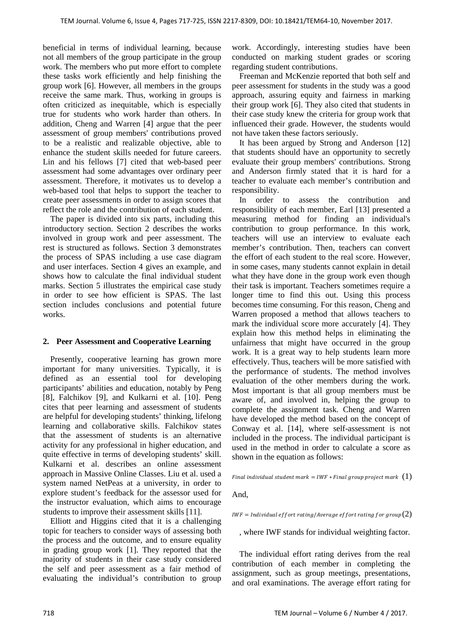beneficial in terms of individual learning, because not all members of the group participate in the group work. The members who put more effort to complete these tasks work efficiently and help finishing the group work [6]. However, all members in the groups receive the same mark. Thus, working in groups is often criticized as inequitable, which is especially true for students who work harder than others. In addition, Cheng and Warren [4] argue that the peer assessment of group members' contributions proved to be a realistic and realizable objective, able to enhance the student skills needed for future careers. Lin and his fellows [7] cited that web-based peer assessment had some advantages over ordinary peer assessment. Therefore, it motivates us to develop a web-based tool that helps to support the teacher to create peer assessments in order to assign scores that reflect the role and the contribution of each student.

The paper is divided into six parts, including this introductory section. Section 2 describes the works involved in group work and peer assessment. The rest is structured as follows. Section 3 demonstrates the process of SPAS including a use case diagram and user interfaces. Section 4 gives an example, and shows how to calculate the final individual student marks. Section 5 illustrates the empirical case study in order to see how efficient is SPAS. The last section includes conclusions and potential future works.

# **2. Peer Assessment and Cooperative Learning**

Presently, cooperative learning has grown more important for many universities. Typically, it is defined as an essential tool for developing participants' abilities and education, notably by Peng [8], Falchikov [9], and Kulkarni et al. [10]. Peng cites that peer learning and assessment of students are helpful for developing students' thinking, lifelong learning and collaborative skills. Falchikov states that the assessment of students is an alternative activity for any professional in higher education, and quite effective in terms of developing students' skill. Kulkarni et al. describes an online assessment approach in Massive Online Classes. Liu et al. used a system named NetPeas at a university, in order to explore student's feedback for the assessor used for the instructor evaluation, which aims to encourage students to improve their assessment skills [11].

Elliott and Higgins cited that it is a challenging topic for teachers to consider ways of assessing both the process and the outcome, and to ensure equality in grading group work [1]. They reported that the majority of students in their case study considered the self and peer assessment as a fair method of evaluating the individual's contribution to group

work. Accordingly, interesting studies have been conducted on marking student grades or scoring regarding student contributions.

Freeman and McKenzie reported that both self and peer assessment for students in the study was a good approach, assuring equity and fairness in marking their group work [6]. They also cited that students in their case study knew the criteria for group work that influenced their grade. However, the students would not have taken these factors seriously.

It has been argued by Strong and Anderson [12] that students should have an opportunity to secretly evaluate their group members' contributions. Strong and Anderson firmly stated that it is hard for a teacher to evaluate each member's contribution and responsibility.

In order to assess the contribution and responsibility of each member, Earl [13] presented a measuring method for finding an individual's contribution to group performance. In this work, teachers will use an interview to evaluate each member's contribution. Then, teachers can convert the effort of each student to the real score. However, in some cases, many students cannot explain in detail what they have done in the group work even though their task is important. Teachers sometimes require a longer time to find this out. Using this process becomes time consuming. For this reason, Cheng and Warren proposed a method that allows teachers to mark the individual score more accurately [4]. They explain how this method helps in eliminating the unfairness that might have occurred in the group work. It is a great way to help students learn more effectively. Thus, teachers will be more satisfied with the performance of students. The method involves evaluation of the other members during the work. Most important is that all group members must be aware of, and involved in, helping the group to complete the assignment task. Cheng and Warren have developed the method based on the concept of Conway et al. [14], where self-assessment is not included in the process. The individual participant is used in the method in order to calculate a score as shown in the equation as follows:

Final individual student mark =  $IWF * Final$  group project mark  $(1)$ 

And,

 $IWF =$  Individual effort rating/Average effort rating for group $(2)$ 

, where IWF stands for individual weighting factor.

The individual effort rating derives from the real contribution of each member in completing the assignment, such as group meetings, presentations, and oral examinations. The average effort rating for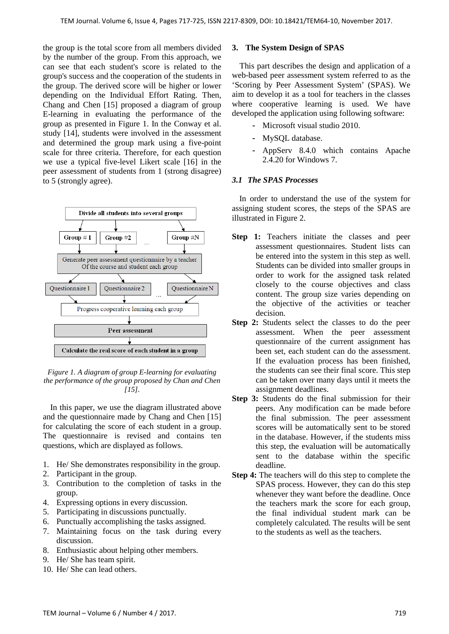the group is the total score from all members divided by the number of the group. From this approach, we can see that each student's score is related to the group's success and the cooperation of the students in the group. The derived score will be higher or lower depending on the Individual Effort Rating. Then, Chang and Chen [15] proposed a diagram of group E-learning in evaluating the performance of the group as presented in Figure 1. In the Conway et al. study [14], students were involved in the assessment and determined the group mark using a five-point scale for three criteria. Therefore, for each question we use a typical five-level Likert scale [16] in the peer assessment of students from 1 (strong disagree) to 5 (strongly agree).



*Figure 1. A diagram of group E-learning for evaluating the performance of the group proposed by Chan and Chen [15].*

In this paper, we use the diagram illustrated above and the questionnaire made by Chang and Chen [15] for calculating the score of each student in a group. The questionnaire is revised and contains ten questions, which are displayed as follows.

- 1. He/ She demonstrates responsibility in the group.
- 2. Participant in the group.
- 3. Contribution to the completion of tasks in the group.
- 4. Expressing options in every discussion.
- 5. Participating in discussions punctually.
- 6. Punctually accomplishing the tasks assigned.
- 7. Maintaining focus on the task during every discussion.
- 8. Enthusiastic about helping other members.
- 9. He/ She has team spirit.
- 10. He/ She can lead others.

#### **3. The System Design of SPAS**

This part describes the design and application of a web-based peer assessment system referred to as the 'Scoring by Peer Assessment System' (SPAS). We aim to develop it as a tool for teachers in the classes where cooperative learning is used. We have developed the application using following software:

- Microsoft visual studio 2010.
- MySOL database.
- AppServ 8.4.0 which contains Apache 2.4.20 for Windows 7.

# *3.1 The SPAS Processes*

In order to understand the use of the system for assigning student scores, the steps of the SPAS are illustrated in Figure 2.

- **Step 1:** Teachers initiate the classes and peer assessment questionnaires. Student lists can be entered into the system in this step as well. Students can be divided into smaller groups in order to work for the assigned task related closely to the course objectives and class content. The group size varies depending on the objective of the activities or teacher decision.
- **Step 2:** Students select the classes to do the peer assessment. When the peer assessment questionnaire of the current assignment has been set, each student can do the assessment. If the evaluation process has been finished, the students can see their final score. This step can be taken over many days until it meets the assignment deadlines.
- **Step 3:** Students do the final submission for their peers. Any modification can be made before the final submission. The peer assessment scores will be automatically sent to be stored in the database. However, if the students miss this step, the evaluation will be automatically sent to the database within the specific deadline.
- **Step 4:** The teachers will do this step to complete the SPAS process. However, they can do this step whenever they want before the deadline. Once the teachers mark the score for each group, the final individual student mark can be completely calculated. The results will be sent to the students as well as the teachers.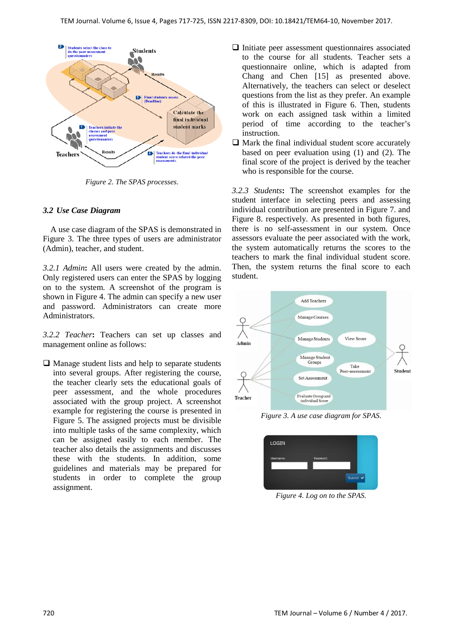

*Figure 2. The SPAS processes.*

# *3.2 Use Case Diagram*

A use case diagram of the SPAS is demonstrated in Figure 3. The three types of users are administrator (Admin), teacher, and student.

*3.2.1 Admin***:** All users were created by the admin. Only registered users can enter the SPAS by logging on to the system. A screenshot of the program is shown in Figure 4. The admin can specify a new user and password. Administrators can create more Administrators.

*3.2.2 Teacher***:** Teachers can set up classes and management online as follows:

 $\Box$  Manage student lists and help to separate students into several groups. After registering the course, the teacher clearly sets the educational goals of peer assessment, and the whole procedures associated with the group project. A screenshot example for registering the course is presented in Figure 5. The assigned projects must be divisible into multiple tasks of the same complexity, which can be assigned easily to each member. The teacher also details the assignments and discusses these with the students. In addition, some guidelines and materials may be prepared for students in order to complete the group assignment.

- $\Box$  Initiate peer assessment questionnaires associated to the course for all students. Teacher sets a questionnaire online, which is adapted from Chang and Chen [15] as presented above. Alternatively, the teachers can select or deselect questions from the list as they prefer. An example of this is illustrated in Figure 6. Then, students work on each assigned task within a limited period of time according to the teacher's instruction.
- $\Box$  Mark the final individual student score accurately based on peer evaluation using (1) and (2). The final score of the project is derived by the teacher who is responsible for the course.

*3.2.3 Students***:** The screenshot examples for the student interface in selecting peers and assessing individual contribution are presented in Figure 7. and Figure 8. respectively. As presented in both figures, there is no self-assessment in our system. Once assessors evaluate the peer associated with the work, the system automatically returns the scores to the teachers to mark the final individual student score. Then, the system returns the final score to each student.



*Figure 3. A use case diagram for SPAS.*



*Figure 4. Log on to the SPAS.*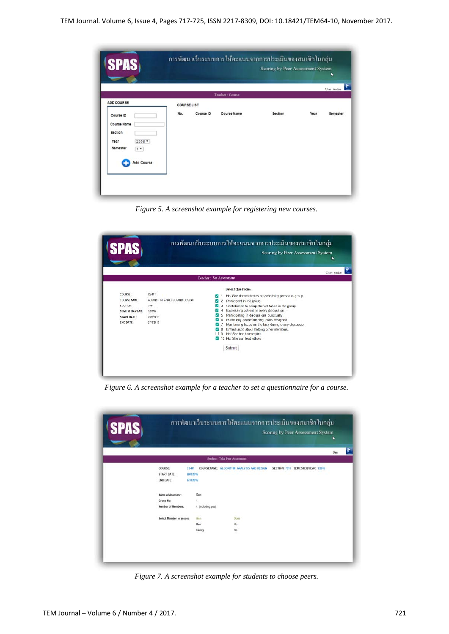TEM Journal. Volume 6, Issue 4, Pages 717-725, ISSN 2217-8309, DOI: 10.18421/TEM64-10, November 2017.

|                                                                                                        |                    |           |                    |         |      | User: teacher |
|--------------------------------------------------------------------------------------------------------|--------------------|-----------|--------------------|---------|------|---------------|
| ADD COURSE                                                                                             | <b>COURSE LIST</b> |           | Teacher: Course    |         |      |               |
| Course ID<br><b>Course Name</b><br>Section<br>2558 *<br>Year<br>Semester<br>$1 +$<br><b>Add Course</b> | No.                | Course ID | <b>Course Name</b> | Section | Year | Semester      |

*Figure 5. A screenshot example for registering new courses.*



*Figure 6. A screenshot example for a teacher to set a questionnaire for a course.*



*Figure 7. A screenshot example for students to choose peers.*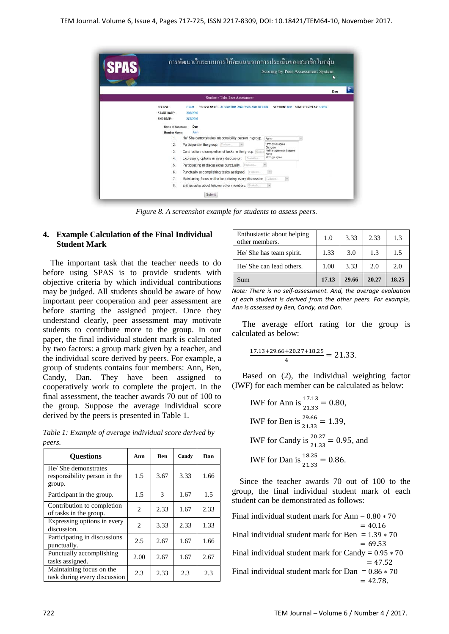

*Figure 8. A screenshot example for students to assess peers.*

# **4. Example Calculation of the Final Individual Student Mark**

The important task that the teacher needs to do before using SPAS is to provide students with objective criteria by which individual contributions may be judged. All students should be aware of how important peer cooperation and peer assessment are before starting the assigned project. Once they understand clearly, peer assessment may motivate students to contribute more to the group. In our paper, the final individual student mark is calculated by two factors: a group mark given by a teacher, and the individual score derived by peers. For example, a group of students contains four members: Ann, Ben, Candy, Dan. They have been assigned to cooperatively work to complete the project. In the final assessment, the teacher awards 70 out of 100 to the group. Suppose the average individual score derived by the peers is presented in Table 1.

*Table 1: Example of average individual score derived by peers.*

| <b>Ouestions</b>                                               | Ann            | <b>Ben</b> | Candy | Dan  |
|----------------------------------------------------------------|----------------|------------|-------|------|
| He/ She demonstrates<br>responsibility person in the<br>group. | 1.5            | 3.67       | 3.33  | 1.66 |
| Participant in the group.                                      | 1.5            | 3          | 1.67  | 1.5  |
| Contribution to completion<br>of tasks in the group.           | 2              | 2.33       | 1.67  | 2.33 |
| Expressing options in every<br>discussion.                     | $\mathfrak{D}$ | 3.33       | 2.33  | 1.33 |
| Participating in discussions<br>punctually.                    | 2.5            | 2.67       | 1.67  | 1.66 |
| Punctually accomplishing<br>tasks assigned.                    | 2.00           | 2.67       | 1.67  | 2.67 |
| Maintaining focus on the<br>task during every discussion       | 2.3            | 2.33       | 2.3   | 2.3  |

| Enthusiastic about helping<br>other members. | 1.0   | 3.33  | 2.33  | 1.3   |
|----------------------------------------------|-------|-------|-------|-------|
| He/ She has team spirit.                     | 1.33  | 3.0   | 1.3   | 1.5   |
| He/ She can lead others.                     | 1.00  | 3.33  | 2.0   | 2.0   |
| Sum                                          | 17.13 | 29.66 | 20.27 | 18.25 |

*Note: There is no self-assessment. And, the average evaluation of each student is derived from the other peers. For example, Ann is assessed by Ben, Candy, and Dan.*

The average effort rating for the group is calculated as below:

$$
\frac{17.13+29.66+20.27+18.25}{4} = 21.33.
$$

Based on (2), the individual weighting factor (IWF) for each member can be calculated as below:

IWF for Ann is 
$$
\frac{17.13}{21.33} = 0.80
$$
,

\nIWF for Ben is  $\frac{29.66}{21.33} = 1.39$ ,

\nIWF for Candy is  $\frac{20.27}{21.33} = 0.95$ , and

\nIWF for Dan is  $\frac{18.25}{21.33} = 0.86$ .

Since the teacher awards 70 out of 100 to the group, the final individual student mark of each student can be demonstrated as follows:

Final individual student mark for Ann =  $0.80 * 70$ <br>=  $40.16$  $= 40.16$ Final individual student mark for Ben =  $1.39 * 70$  $= 69.53$ Final individual student mark for Candy =  $0.95 * 70$  $= 47.52$ Final individual student mark for Dan =  $0.86 \times 70$  $= 42.78.$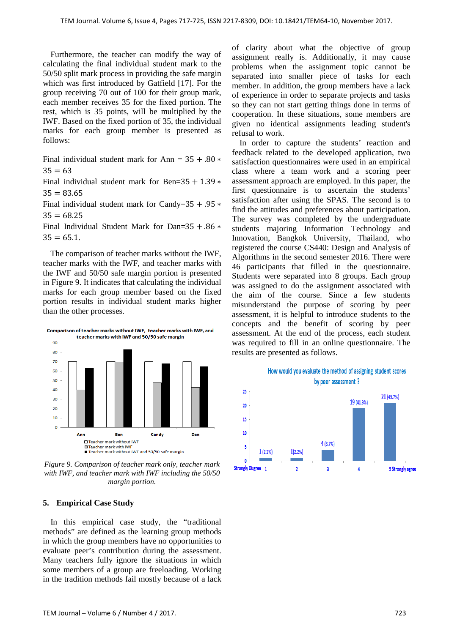Furthermore, the teacher can modify the way of calculating the final individual student mark to the 50/50 split mark process in providing the safe margin which was first introduced by Gatfield [17]. For the group receiving 70 out of 100 for their group mark, each member receives 35 for the fixed portion. The rest, which is 35 points, will be multiplied by the IWF. Based on the fixed portion of 35, the individual marks for each group member is presented as follows:

Final individual student mark for Ann =  $35 + .80$  \*  $35 = 63$ 

Final individual student mark for Ben= $35 + 1.39$   $*$  $35 = 83.65$ 

Final individual student mark for Candy=35 + .95 ∗  $35 = 68.25$ 

Final Individual Student Mark for Dan=35 + .86 ∗  $35 = 65.1$ .

The comparison of teacher marks without the IWF, teacher marks with the IWF, and teacher marks with the IWF and 50/50 safe margin portion is presented in Figure 9. It indicates that calculating the individual marks for each group member based on the fixed portion results in individual student marks higher than the other processes.



*Figure 9. Comparison of teacher mark only, teacher mark with IWF, and teacher mark with IWF including the 50/50 margin portion.*

#### **5. Empirical Case Study**

In this empirical case study, the "traditional methods" are defined as the learning group methods in which the group members have no opportunities to evaluate peer's contribution during the assessment. Many teachers fully ignore the situations in which some members of a group are freeloading. Working in the tradition methods fail mostly because of a lack of clarity about what the objective of group assignment really is. Additionally, it may cause problems when the assignment topic cannot be separated into smaller piece of tasks for each member. In addition, the group members have a lack of experience in order to separate projects and tasks so they can not start getting things done in terms of cooperation. In these situations, some members are given no identical assignments leading student's refusal to work.

In order to capture the students' reaction and feedback related to the developed application, two satisfaction questionnaires were used in an empirical class where a team work and a scoring peer assessment approach are employed. In this paper, the first questionnaire is to ascertain the students' satisfaction after using the SPAS. The second is to find the attitudes and preferences about participation. The survey was completed by the undergraduate students majoring Information Technology and Innovation, Bangkok University, Thailand, who registered the course CS440: Design and Analysis of Algorithms in the second semester 2016. There were 46 participants that filled in the questionnaire. Students were separated into 8 groups. Each group was assigned to do the assignment associated with the aim of the course. Since a few students misunderstand the purpose of scoring by peer assessment, it is helpful to introduce students to the concepts and the benefit of scoring by peer assessment. At the end of the process, each student was required to fill in an online questionnaire. The results are presented as follows.

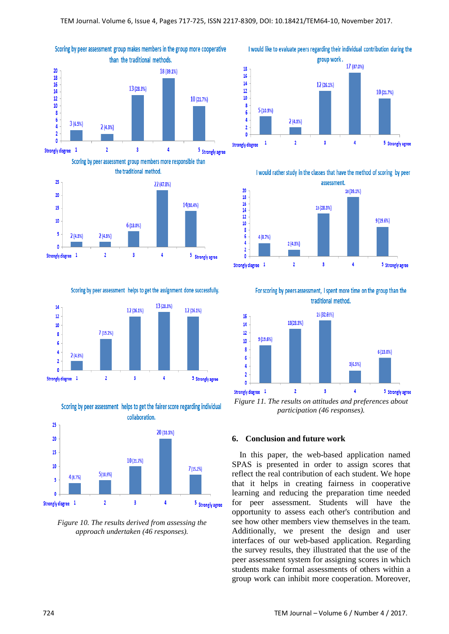



Scoring by peer assessment helps to get the assignment done successfully.



Scoring by peer assessment helps to get the fairer score regarding individual collaboration.



*Figure 10. The results derived from assessing the approach undertaken (46 responses).*

I would like to evaluate peers regarding their individual contribution during the group work. 17 (37.0%) 18  $16$  $14$ 12 (26.1%)  $12$ 10 (21.7%)  $10$  $\overline{\mathbf{8}}$  $5(10.9\%)$  $\overline{6}$  $\overline{4}$  $2(4.3%)$  $\overline{2}$  $\theta$  $\overline{\mathbf{3}}$  $\overline{4}$  $\overline{2}$ **Strongly disgree**  $\mathbf{1}$ 5 Strongly agree

I would rather study in the classes that have the method of scoring by peer



For scoring by peers assessment, I spent more time on the group than the traditional method.



*Figure 11. The results on attitudes and preferences about participation (46 responses).*

## **6. Conclusion and future work**

In this paper, the web-based application named SPAS is presented in order to assign scores that reflect the real contribution of each student. We hope that it helps in creating fairness in cooperative learning and reducing the preparation time needed for peer assessment. Students will have the opportunity to assess each other's contribution and see how other members view themselves in the team. Additionally, we present the design and user interfaces of our web-based application. Regarding the survey results, they illustrated that the use of the peer assessment system for assigning scores in which students make formal assessments of others within a group work can inhibit more cooperation. Moreover,